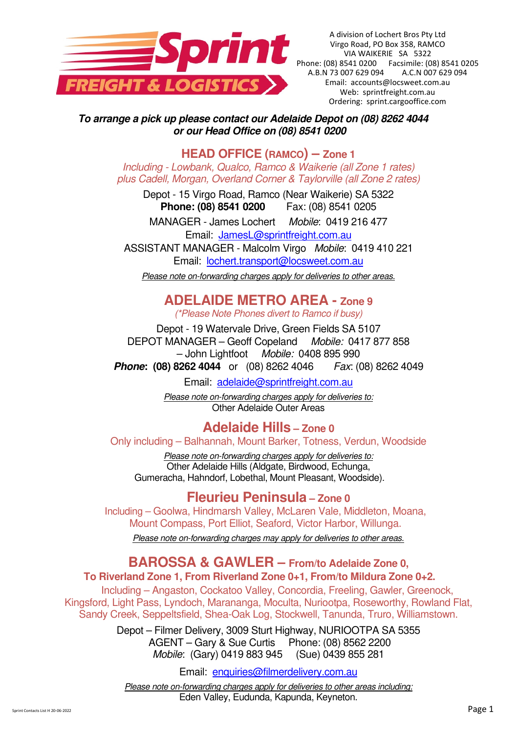

A division of Lochert Bros Pty Ltd Virgo Road, PO Box 358, RAMCO VIA WAIKERIE SA 5322 Phone: (08) 8541 0200 Facsimile: (08) 8541 0205 A.B.N 73 007 629 094 A.C.N 007 629 094 Email: accounts@locsweet.com.au Web: sprintfreight.com.au Ordering: sprint.cargooffice.com

**To arrange a pick up please contact our Adelaide Depot on (08) 8262 4044 or our Head Office on (08) 8541 0200** 

**HEAD OFFICE (RAMCO) – Zone 1**

*Including - Lowbank, Qualco, Ramco & Waikerie (all Zone 1 rates) plus Cadell, Morgan, Overland Corner & Taylorville (all Zone 2 rates)* 

Depot - 15 Virgo Road, Ramco (Near Waikerie) SA 5322 **Phone: (08) 8541 0200** Fax: (08) 8541 0205

MANAGER - James Lochert *Mobile*: 0419 216 477 Email: JamesL@sprintfreight.com.au

ASSISTANT MANAGER - Malcolm Virgo *Mobile*: 0419 410 221 Email: lochert.transport@locsweet.com.au

*Please note on-forwarding charges apply for deliveries to other areas.* 

# **ADELAIDE METRO AREA - Zone 9**

*(\*Please Note Phones divert to Ramco if busy)* 

Depot - 19 Watervale Drive, Green Fields SA 5107 DEPOT MANAGER – Geoff Copeland *Mobile:* 0417 877 858 – John Lightfoot *Mobile:* 0408 895 990

**Phone: (08) 8262 4044** or (08) 8262 4046 *Fax*: (08) 8262 4049

Email: adelaide@sprintfreight.com.au

*Please note on-forwarding charges apply for deliveries to:*  Other Adelaide Outer Areas

**Adelaide Hills – Zone 0** 

Only including – Balhannah, Mount Barker, Totness, Verdun, Woodside

*Please note on-forwarding charges apply for deliveries to:*  Other Adelaide Hills (Aldgate, Birdwood, Echunga, Gumeracha, Hahndorf, Lobethal, Mount Pleasant, Woodside).

### **Fleurieu Peninsula – Zone 0**

Including – Goolwa, Hindmarsh Valley, McLaren Vale, Middleton, Moana, Mount Compass, Port Elliot, Seaford, Victor Harbor, Willunga.

*Please note on-forwarding charges may apply for deliveries to other areas.* 

# **BAROSSA & GAWLER – From/to Adelaide Zone 0,**

#### **To Riverland Zone 1, From Riverland Zone 0+1, From/to Mildura Zone 0+2.**

Including – Angaston, Cockatoo Valley, Concordia, Freeling, Gawler, Greenock, Kingsford, Light Pass, Lyndoch, Marananga, Moculta, Nuriootpa, Roseworthy, Rowland Flat, Sandy Creek, Seppeltsfield, Shea-Oak Log, Stockwell, Tanunda, Truro, Williamstown.

> Depot – Filmer Delivery, 3009 Sturt Highway, NURIOOTPA SA 5355 AGENT – Gary & Sue Curtis Phone: (08) 8562 2200 *Mobile*: (Gary) 0419 883 945 (Sue) 0439 855 281

> > Email: enquiries@filmerdelivery.com.au

*Please note on-forwarding charges apply for deliveries to other areas including:*  Eden Valley, Eudunda, Kapunda, Keyneton.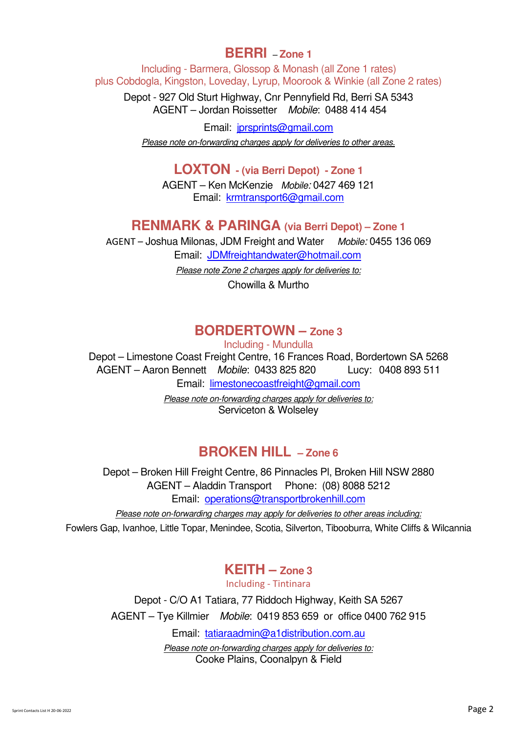### **BERRI** – **Zone 1**

 Including - Barmera, Glossop & Monash (all Zone 1 rates) plus Cobdogla, Kingston, Loveday, Lyrup, Moorook & Winkie (all Zone 2 rates)

Depot - 927 Old Sturt Highway, Cnr Pennyfield Rd, Berri SA 5343 AGENT – Jordan Roissetter *Mobile*: 0488 414 454

Email: jprsprints@gmail.com

*Please note on-forwarding charges apply for deliveries to other areas.* 

**LOXTON - (via Berri Depot) - Zone 1** 

AGENT – Ken McKenzie *Mobile:* 0427 469 121 Email: krmtransport6@gmail.com

### **RENMARK & PARINGA (via Berri Depot) – Zone 1**

AGENT – Joshua Milonas, JDM Freight and Water *Mobile:* 0455 136 069 Email: JDMfreightandwater@hotmail.com

*Please note Zone 2 charges apply for deliveries to:*

Chowilla & Murtho

### **BORDERTOWN – Zone 3**

Including - Mundulla

Depot – Limestone Coast Freight Centre, 16 Frances Road, Bordertown SA 5268 AGENT – Aaron Bennett *Mobile*: 0433 825 820 Lucy: 0408 893 511 Email: limestonecoastfreight@gmail.com *Please note on-forwarding charges apply for deliveries to:* 

Serviceton & Wolseley

### **BROKEN HILL – Zone 6**

Depot – Broken Hill Freight Centre, 86 Pinnacles Pl, Broken Hill NSW 2880 AGENT – Aladdin Transport Phone: (08) 8088 5212 Email: operations@transportbrokenhill.com

*Please note on-forwarding charges may apply for deliveries to other areas including:* 

Fowlers Gap, Ivanhoe, Little Topar, Menindee, Scotia, Silverton, Tibooburra, White Cliffs & Wilcannia

### **KEITH – Zone 3**

Including - Tintinara

Depot - C/O A1 Tatiara, 77 Riddoch Highway, Keith SA 5267 AGENT – Tye Killmier *Mobile*: 0419 853 659 or office 0400 762 915

Email: tatiaraadmin@a1distribution.com.au

*Please note on-forwarding charges apply for deliveries to:*  Cooke Plains, Coonalpyn & Field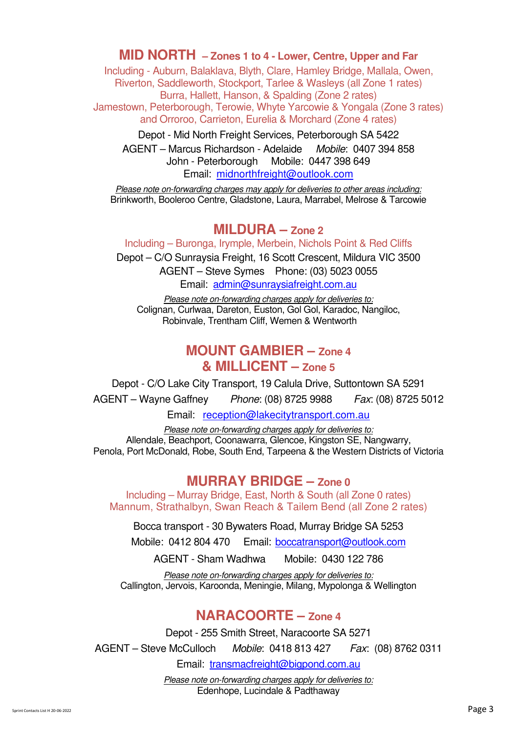#### **MID NORTH – Zones 1 to 4 - Lower, Centre, Upper and Far**

 Including - Auburn, Balaklava, Blyth, Clare, Hamley Bridge, Mallala, Owen, Riverton, Saddleworth, Stockport, Tarlee & Wasleys (all Zone 1 rates) Burra, Hallett, Hanson, & Spalding (Zone 2 rates) Jamestown, Peterborough, Terowie, Whyte Yarcowie & Yongala (Zone 3 rates) and Orroroo, Carrieton, Eurelia & Morchard (Zone 4 rates)

Depot - Mid North Freight Services, Peterborough SA 5422 AGENT – Marcus Richardson - Adelaide *Mobile*: 0407 394 858 John - Peterborough Mobile: 0447 398 649 Email: midnorthfreight@outlook.com

*Please note on-forwarding charges may apply for deliveries to other areas including:*  Brinkworth, Booleroo Centre, Gladstone, Laura, Marrabel, Melrose & Tarcowie

#### **MILDURA – Zone 2**

Including – Buronga, Irymple, Merbein, Nichols Point & Red Cliffs Depot – C/O Sunraysia Freight, 16 Scott Crescent, Mildura VIC 3500

AGENT – Steve Symes Phone: (03) 5023 0055 Email: admin@sunraysiafreight.com.au

*Please note on-forwarding charges apply for deliveries to:*  Colignan, Curlwaa, Dareton, Euston, Gol Gol, Karadoc, Nangiloc, Robinvale, Trentham Cliff, Wemen & Wentworth

### **MOUNT GAMBIER – Zone 4 & MILLICENT – Zone 5**

Depot - C/O Lake City Transport, 19 Calula Drive, Suttontown SA 5291 AGENT – Wayne Gaffney *Phone*: (08) 8725 9988 *Fax*: (08) 8725 5012

Email: reception@lakecitytransport.com.au

*Please note on-forwarding charges apply for deliveries to:*  Allendale, Beachport, Coonawarra, Glencoe, Kingston SE, Nangwarry, Penola, Port McDonald, Robe, South End, Tarpeena & the Western Districts of Victoria

### **MURRAY BRIDGE – Zone 0**

Including – Murray Bridge, East, North & South (all Zone 0 rates) Mannum, Strathalbyn, Swan Reach & Tailem Bend (all Zone 2 rates)

Bocca transport - 30 Bywaters Road, Murray Bridge SA 5253

Mobile: 0412 804 470 Email: boccatransport@outlook.com

AGENT - Sham Wadhwa Mobile: 0430 122 786

*Please note on-forwarding charges apply for deliveries to:*  Callington, Jervois, Karoonda, Meningie, Milang, Mypolonga & Wellington

### **NARACOORTE – Zone 4**

Depot - 255 Smith Street, Naracoorte SA 5271 AGENT – Steve McCulloch *Mobile*: 0418 813 427 *Fax*: (08) 8762 0311 Email: transmacfreight@bigpond.com.au

> *Please note on-forwarding charges apply for deliveries to:*  Edenhope, Lucindale & Padthaway